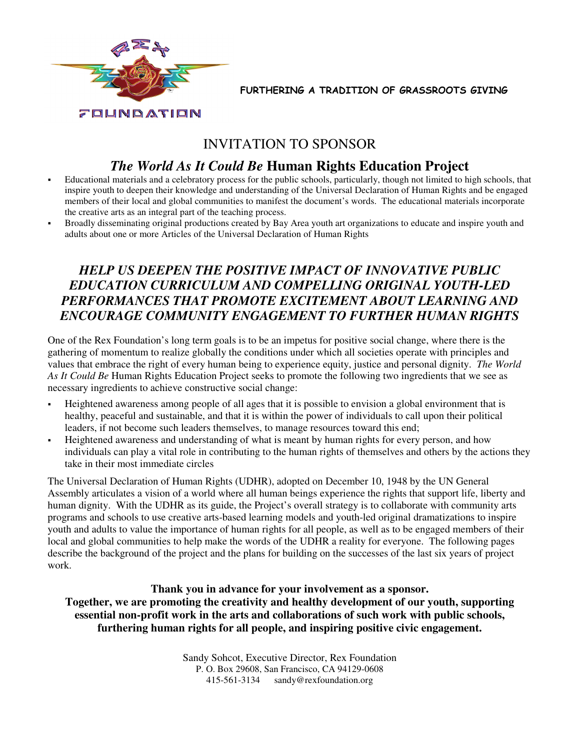

FURTHERING A TRADITION OF GRASSROOTS GIVING

# INVITATION TO SPONSOR

# *The World As It Could Be* **Human Rights Education Project**

- Educational materials and a celebratory process for the public schools, particularly, though not limited to high schools, that inspire youth to deepen their knowledge and understanding of the Universal Declaration of Human Rights and be engaged members of their local and global communities to manifest the document's words. The educational materials incorporate the creative arts as an integral part of the teaching process.
- Broadly disseminating original productions created by Bay Area youth art organizations to educate and inspire youth and adults about one or more Articles of the Universal Declaration of Human Rights

# *HELP US DEEPEN THE POSITIVE IMPACT OF INNOVATIVE PUBLIC EDUCATION CURRICULUM AND COMPELLING ORIGINAL YOUTH-LED PERFORMANCES THAT PROMOTE EXCITEMENT ABOUT LEARNING AND ENCOURAGE COMMUNITY ENGAGEMENT TO FURTHER HUMAN RIGHTS*

One of the Rex Foundation's long term goals is to be an impetus for positive social change, where there is the gathering of momentum to realize globally the conditions under which all societies operate with principles and values that embrace the right of every human being to experience equity, justice and personal dignity. *The World As It Could Be* Human Rights Education Project seeks to promote the following two ingredients that we see as necessary ingredients to achieve constructive social change:

- Heightened awareness among people of all ages that it is possible to envision a global environment that is healthy, peaceful and sustainable, and that it is within the power of individuals to call upon their political leaders, if not become such leaders themselves, to manage resources toward this end;
- Heightened awareness and understanding of what is meant by human rights for every person, and how individuals can play a vital role in contributing to the human rights of themselves and others by the actions they take in their most immediate circles

The Universal Declaration of Human Rights (UDHR), adopted on December 10, 1948 by the UN General Assembly articulates a vision of a world where all human beings experience the rights that support life, liberty and human dignity. With the UDHR as its guide, the Project's overall strategy is to collaborate with community arts programs and schools to use creative arts-based learning models and youth-led original dramatizations to inspire youth and adults to value the importance of human rights for all people, as well as to be engaged members of their local and global communities to help make the words of the UDHR a reality for everyone. The following pages describe the background of the project and the plans for building on the successes of the last six years of project work.

**Thank you in advance for your involvement as a sponsor. Together, we are promoting the creativity and healthy development of our youth, supporting essential non-profit work in the arts and collaborations of such work with public schools, furthering human rights for all people, and inspiring positive civic engagement.** 

> Sandy Sohcot, Executive Director, Rex Foundation P. O. Box 29608, San Francisco, CA 94129-0608 415-561-3134 sandy@rexfoundation.org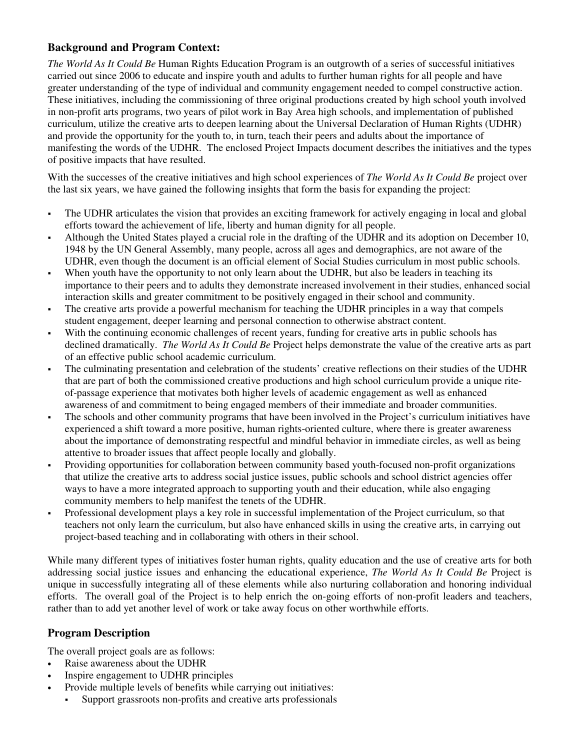## **Background and Program Context:**

*The World As It Could Be* Human Rights Education Program is an outgrowth of a series of successful initiatives carried out since 2006 to educate and inspire youth and adults to further human rights for all people and have greater understanding of the type of individual and community engagement needed to compel constructive action. These initiatives, including the commissioning of three original productions created by high school youth involved in non-profit arts programs, two years of pilot work in Bay Area high schools, and implementation of published curriculum, utilize the creative arts to deepen learning about the Universal Declaration of Human Rights (UDHR) and provide the opportunity for the youth to, in turn, teach their peers and adults about the importance of manifesting the words of the UDHR. The enclosed Project Impacts document describes the initiatives and the types of positive impacts that have resulted.

With the successes of the creative initiatives and high school experiences of *The World As It Could Be* project over the last six years, we have gained the following insights that form the basis for expanding the project:

- The UDHR articulates the vision that provides an exciting framework for actively engaging in local and global efforts toward the achievement of life, liberty and human dignity for all people.
- Although the United States played a crucial role in the drafting of the UDHR and its adoption on December 10, 1948 by the UN General Assembly, many people, across all ages and demographics, are not aware of the UDHR, even though the document is an official element of Social Studies curriculum in most public schools.
- When youth have the opportunity to not only learn about the UDHR, but also be leaders in teaching its importance to their peers and to adults they demonstrate increased involvement in their studies, enhanced social interaction skills and greater commitment to be positively engaged in their school and community.
- The creative arts provide a powerful mechanism for teaching the UDHR principles in a way that compels student engagement, deeper learning and personal connection to otherwise abstract content.
- With the continuing economic challenges of recent years, funding for creative arts in public schools has declined dramatically. *The World As It Could Be* Project helps demonstrate the value of the creative arts as part of an effective public school academic curriculum.
- The culminating presentation and celebration of the students' creative reflections on their studies of the UDHR that are part of both the commissioned creative productions and high school curriculum provide a unique riteof-passage experience that motivates both higher levels of academic engagement as well as enhanced awareness of and commitment to being engaged members of their immediate and broader communities.
- The schools and other community programs that have been involved in the Project's curriculum initiatives have experienced a shift toward a more positive, human rights-oriented culture, where there is greater awareness about the importance of demonstrating respectful and mindful behavior in immediate circles, as well as being attentive to broader issues that affect people locally and globally.
- Providing opportunities for collaboration between community based youth-focused non-profit organizations that utilize the creative arts to address social justice issues, public schools and school district agencies offer ways to have a more integrated approach to supporting youth and their education, while also engaging community members to help manifest the tenets of the UDHR.
- Professional development plays a key role in successful implementation of the Project curriculum, so that teachers not only learn the curriculum, but also have enhanced skills in using the creative arts, in carrying out project-based teaching and in collaborating with others in their school.

While many different types of initiatives foster human rights, quality education and the use of creative arts for both addressing social justice issues and enhancing the educational experience, *The World As It Could Be* Project is unique in successfully integrating all of these elements while also nurturing collaboration and honoring individual efforts. The overall goal of the Project is to help enrich the on-going efforts of non-profit leaders and teachers, rather than to add yet another level of work or take away focus on other worthwhile efforts.

## **Program Description**

The overall project goals are as follows:

- Raise awareness about the UDHR
- Inspire engagement to UDHR principles
- Provide multiple levels of benefits while carrying out initiatives:
- Support grassroots non-profits and creative arts professionals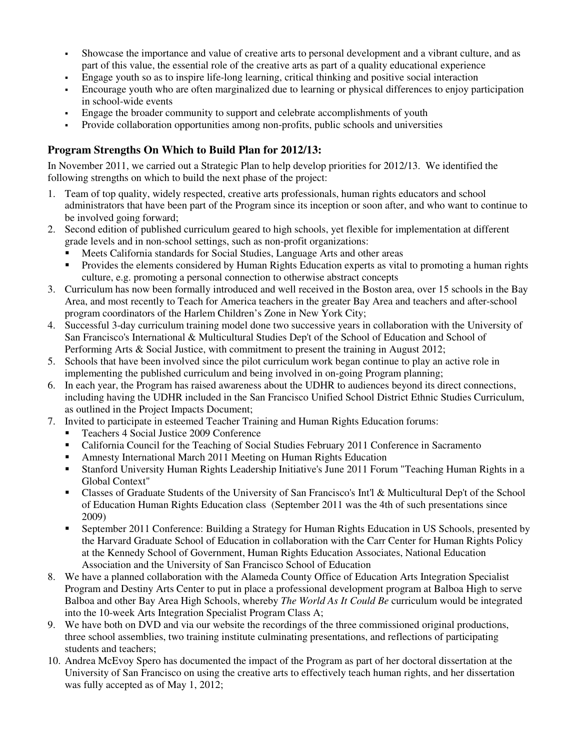- Showcase the importance and value of creative arts to personal development and a vibrant culture, and as part of this value, the essential role of the creative arts as part of a quality educational experience
- Engage youth so as to inspire life-long learning, critical thinking and positive social interaction
- Encourage youth who are often marginalized due to learning or physical differences to enjoy participation in school-wide events
- Engage the broader community to support and celebrate accomplishments of youth
- Provide collaboration opportunities among non-profits, public schools and universities

## **Program Strengths On Which to Build Plan for 2012/13:**

In November 2011, we carried out a Strategic Plan to help develop priorities for 2012/13. We identified the following strengths on which to build the next phase of the project:

- 1. Team of top quality, widely respected, creative arts professionals, human rights educators and school administrators that have been part of the Program since its inception or soon after, and who want to continue to be involved going forward;
- 2. Second edition of published curriculum geared to high schools, yet flexible for implementation at different grade levels and in non-school settings, such as non-profit organizations:
	- Meets California standards for Social Studies, Language Arts and other areas
	- Provides the elements considered by Human Rights Education experts as vital to promoting a human rights culture, e.g. promoting a personal connection to otherwise abstract concepts
- 3. Curriculum has now been formally introduced and well received in the Boston area, over 15 schools in the Bay Area, and most recently to Teach for America teachers in the greater Bay Area and teachers and after-school program coordinators of the Harlem Children's Zone in New York City;
- 4. Successful 3-day curriculum training model done two successive years in collaboration with the University of San Francisco's International & Multicultural Studies Dep't of the School of Education and School of Performing Arts & Social Justice, with commitment to present the training in August 2012;
- 5. Schools that have been involved since the pilot curriculum work began continue to play an active role in implementing the published curriculum and being involved in on-going Program planning;
- 6. In each year, the Program has raised awareness about the UDHR to audiences beyond its direct connections, including having the UDHR included in the San Francisco Unified School District Ethnic Studies Curriculum, as outlined in the Project Impacts Document;
- 7. Invited to participate in esteemed Teacher Training and Human Rights Education forums:
	- Teachers 4 Social Justice 2009 Conference
	- California Council for the Teaching of Social Studies February 2011 Conference in Sacramento
	- Amnesty International March 2011 Meeting on Human Rights Education
	- Stanford University Human Rights Leadership Initiative's June 2011 Forum "Teaching Human Rights in a Global Context"
	- Classes of Graduate Students of the University of San Francisco's Int'l & Multicultural Dep't of the School of Education Human Rights Education class (September 2011 was the 4th of such presentations since 2009)
	- September 2011 Conference: Building a Strategy for Human Rights Education in US Schools, presented by the Harvard Graduate School of Education in collaboration with the Carr Center for Human Rights Policy at the Kennedy School of Government, Human Rights Education Associates, National Education Association and the University of San Francisco School of Education
- 8. We have a planned collaboration with the Alameda County Office of Education Arts Integration Specialist Program and Destiny Arts Center to put in place a professional development program at Balboa High to serve Balboa and other Bay Area High Schools, whereby *The World As It Could Be* curriculum would be integrated into the 10-week Arts Integration Specialist Program Class A;
- 9. We have both on DVD and via our website the recordings of the three commissioned original productions, three school assemblies, two training institute culminating presentations, and reflections of participating students and teachers;
- 10. Andrea McEvoy Spero has documented the impact of the Program as part of her doctoral dissertation at the University of San Francisco on using the creative arts to effectively teach human rights, and her dissertation was fully accepted as of May 1, 2012;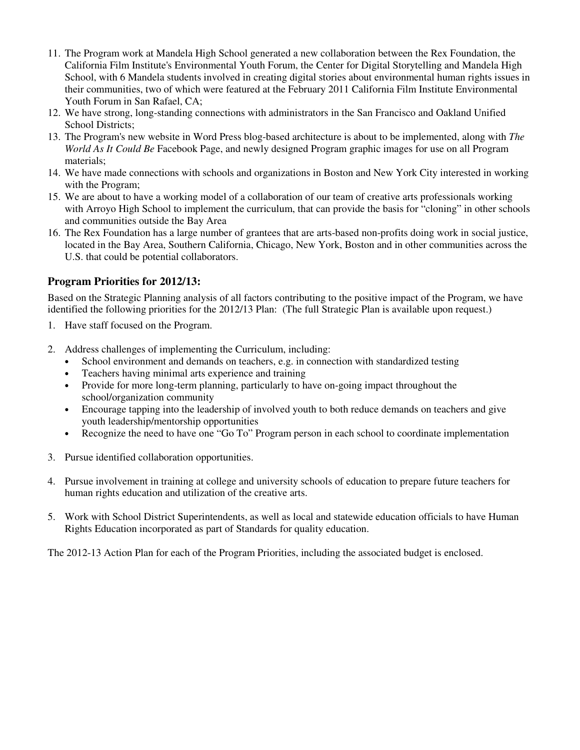- 11. The Program work at Mandela High School generated a new collaboration between the Rex Foundation, the California Film Institute's Environmental Youth Forum, the Center for Digital Storytelling and Mandela High School, with 6 Mandela students involved in creating digital stories about environmental human rights issues in their communities, two of which were featured at the February 2011 California Film Institute Environmental Youth Forum in San Rafael, CA;
- 12. We have strong, long-standing connections with administrators in the San Francisco and Oakland Unified School Districts;
- 13. The Program's new website in Word Press blog-based architecture is about to be implemented, along with *The World As It Could Be* Facebook Page, and newly designed Program graphic images for use on all Program materials;
- 14. We have made connections with schools and organizations in Boston and New York City interested in working with the Program;
- 15. We are about to have a working model of a collaboration of our team of creative arts professionals working with Arroyo High School to implement the curriculum, that can provide the basis for "cloning" in other schools and communities outside the Bay Area
- 16. The Rex Foundation has a large number of grantees that are arts-based non-profits doing work in social justice, located in the Bay Area, Southern California, Chicago, New York, Boston and in other communities across the U.S. that could be potential collaborators.

## **Program Priorities for 2012/13:**

Based on the Strategic Planning analysis of all factors contributing to the positive impact of the Program, we have identified the following priorities for the 2012/13 Plan: (The full Strategic Plan is available upon request.)

- 1. Have staff focused on the Program.
- 2. Address challenges of implementing the Curriculum, including:
	- School environment and demands on teachers, e.g. in connection with standardized testing
	- Teachers having minimal arts experience and training
	- Provide for more long-term planning, particularly to have on-going impact throughout the school/organization community
	- Encourage tapping into the leadership of involved youth to both reduce demands on teachers and give youth leadership/mentorship opportunities
	- Recognize the need to have one "Go To" Program person in each school to coordinate implementation
- 3. Pursue identified collaboration opportunities.
- 4. Pursue involvement in training at college and university schools of education to prepare future teachers for human rights education and utilization of the creative arts.
- 5. Work with School District Superintendents, as well as local and statewide education officials to have Human Rights Education incorporated as part of Standards for quality education.

The 2012-13 Action Plan for each of the Program Priorities, including the associated budget is enclosed.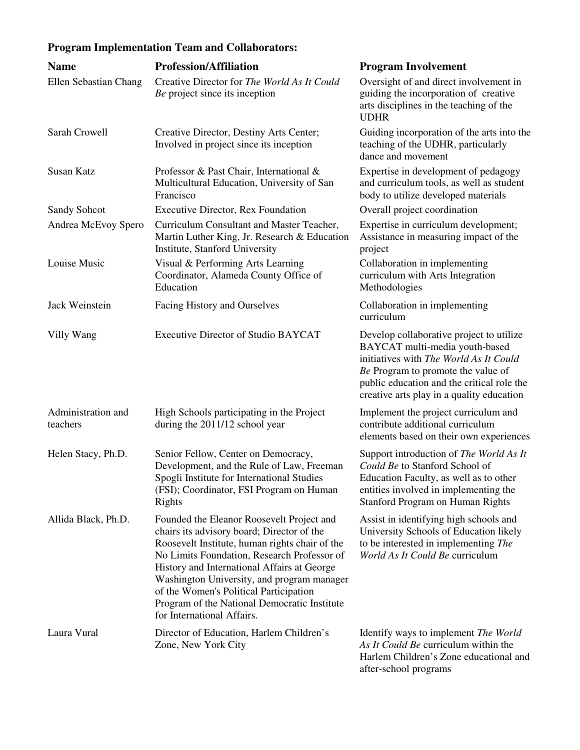# **Program Implementation Team and Collaborators:**

| <b>Name</b>                    | <b>Profession/Affiliation</b>                                                                                                                                                                                                                                                                                                                                                                                 | <b>Program Involvement</b>                                                                                                                                                                                                                            |
|--------------------------------|---------------------------------------------------------------------------------------------------------------------------------------------------------------------------------------------------------------------------------------------------------------------------------------------------------------------------------------------------------------------------------------------------------------|-------------------------------------------------------------------------------------------------------------------------------------------------------------------------------------------------------------------------------------------------------|
| Ellen Sebastian Chang          | Creative Director for The World As It Could<br>Be project since its inception                                                                                                                                                                                                                                                                                                                                 | Oversight of and direct involvement in<br>guiding the incorporation of creative<br>arts disciplines in the teaching of the<br><b>UDHR</b>                                                                                                             |
| Sarah Crowell                  | Creative Director, Destiny Arts Center;<br>Involved in project since its inception                                                                                                                                                                                                                                                                                                                            | Guiding incorporation of the arts into the<br>teaching of the UDHR, particularly<br>dance and movement                                                                                                                                                |
| <b>Susan Katz</b>              | Professor & Past Chair, International &<br>Multicultural Education, University of San<br>Francisco                                                                                                                                                                                                                                                                                                            | Expertise in development of pedagogy<br>and curriculum tools, as well as student<br>body to utilize developed materials                                                                                                                               |
| Sandy Sohcot                   | <b>Executive Director, Rex Foundation</b>                                                                                                                                                                                                                                                                                                                                                                     | Overall project coordination                                                                                                                                                                                                                          |
| Andrea McEvoy Spero            | Curriculum Consultant and Master Teacher,<br>Martin Luther King, Jr. Research & Education<br>Institute, Stanford University                                                                                                                                                                                                                                                                                   | Expertise in curriculum development;<br>Assistance in measuring impact of the<br>project                                                                                                                                                              |
| Louise Music                   | Visual & Performing Arts Learning<br>Coordinator, Alameda County Office of<br>Education                                                                                                                                                                                                                                                                                                                       | Collaboration in implementing<br>curriculum with Arts Integration<br>Methodologies                                                                                                                                                                    |
| Jack Weinstein                 | Facing History and Ourselves                                                                                                                                                                                                                                                                                                                                                                                  | Collaboration in implementing<br>curriculum                                                                                                                                                                                                           |
| Villy Wang                     | Executive Director of Studio BAYCAT                                                                                                                                                                                                                                                                                                                                                                           | Develop collaborative project to utilize<br>BAYCAT multi-media youth-based<br>initiatives with The World As It Could<br>Be Program to promote the value of<br>public education and the critical role the<br>creative arts play in a quality education |
| Administration and<br>teachers | High Schools participating in the Project<br>during the 2011/12 school year                                                                                                                                                                                                                                                                                                                                   | Implement the project curriculum and<br>contribute additional curriculum<br>elements based on their own experiences                                                                                                                                   |
| Helen Stacy, Ph.D.             | Senior Fellow, Center on Democracy,<br>Development, and the Rule of Law, Freeman<br>Spogli Institute for International Studies<br>(FSI); Coordinator, FSI Program on Human<br>Rights                                                                                                                                                                                                                          | Support introduction of The World As It<br>Could Be to Stanford School of<br>Education Faculty, as well as to other<br>entities involved in implementing the<br>Stanford Program on Human Rights                                                      |
| Allida Black, Ph.D.            | Founded the Eleanor Roosevelt Project and<br>chairs its advisory board; Director of the<br>Roosevelt Institute, human rights chair of the<br>No Limits Foundation, Research Professor of<br>History and International Affairs at George<br>Washington University, and program manager<br>of the Women's Political Participation<br>Program of the National Democratic Institute<br>for International Affairs. | Assist in identifying high schools and<br>University Schools of Education likely<br>to be interested in implementing The<br>World As It Could Be curriculum                                                                                           |
| Laura Vural                    | Director of Education, Harlem Children's<br>Zone, New York City                                                                                                                                                                                                                                                                                                                                               | Identify ways to implement The World<br>As It Could Be curriculum within the<br>Harlem Children's Zone educational and<br>after-school programs                                                                                                       |